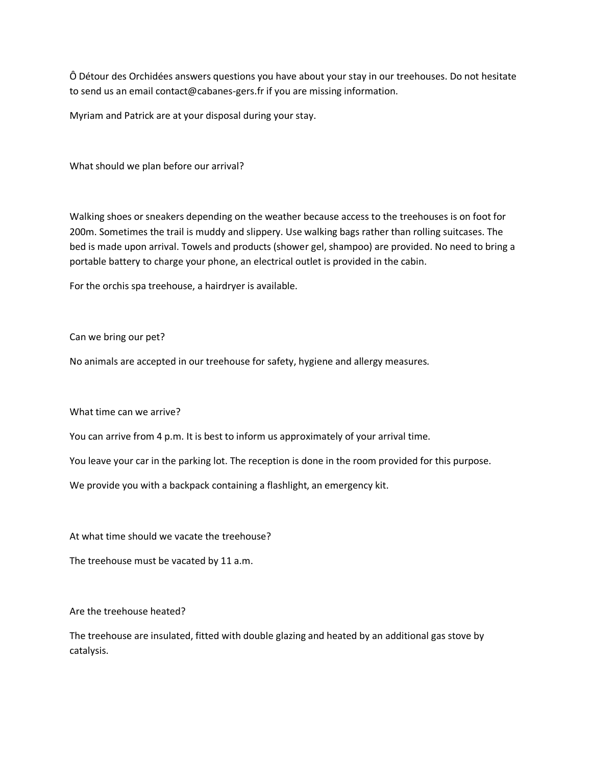Ô Détour des Orchidées answers questions you have about your stay in our treehouses. Do not hesitate to send us an email contact@cabanes-gers.fr if you are missing information.

Myriam and Patrick are at your disposal during your stay.

What should we plan before our arrival?

Walking shoes or sneakers depending on the weather because access to the treehouses is on foot for 200m. Sometimes the trail is muddy and slippery. Use walking bags rather than rolling suitcases. The bed is made upon arrival. Towels and products (shower gel, shampoo) are provided. No need to bring a portable battery to charge your phone, an electrical outlet is provided in the cabin.

For the orchis spa treehouse, a hairdryer is available.

Can we bring our pet?

No animals are accepted in our treehouse for safety, hygiene and allergy measures.

What time can we arrive?

You can arrive from 4 p.m. It is best to inform us approximately of your arrival time.

You leave your car in the parking lot. The reception is done in the room provided for this purpose.

We provide you with a backpack containing a flashlight, an emergency kit.

At what time should we vacate the treehouse?

The treehouse must be vacated by 11 a.m.

Are the treehouse heated?

The treehouse are insulated, fitted with double glazing and heated by an additional gas stove by catalysis.